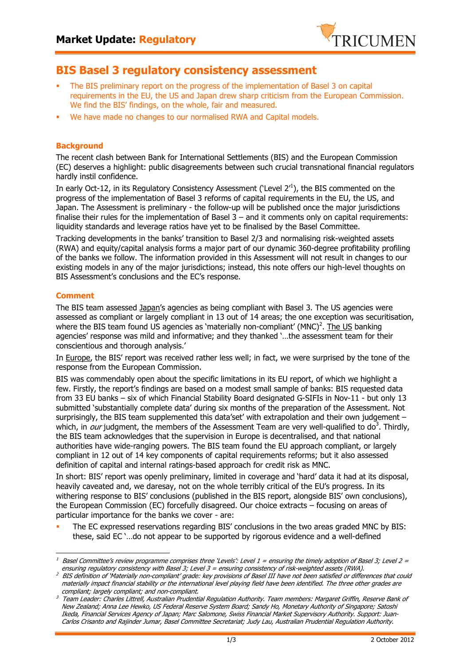

## **BIS Basel 3 regulatory consistency assessment**

- The BIS preliminary report on the progress of the implementation of Basel 3 on capital requirements in the EU, the US and Japan drew sharp criticism from the European Commission. We find the BIS' findings, on the whole, fair and measured.
- We have made no changes to our normalised RWA and Capital models.

## **Background**

The recent clash between Bank for International Settlements (BIS) and the European Commission (EC) deserves a highlight: public disagreements between such crucial transnational financial regulators hardly instil confidence.

In early Oct-12, in its Regulatory Consistency Assessment ('Level 2'<sup>1</sup>), the BIS commented on the progress of the implementation of Basel 3 reforms of capital requirements in the EU, the US, and Japan. The Assessment is preliminary - the follow-up will be published once the major jurisdictions finalise their rules for the implementation of Basel 3 – and it comments only on capital requirements: liquidity standards and leverage ratios have yet to be finalised by the Basel Committee.

Tracking developments in the banks' transition to Basel 2/3 and normalising risk-weighted assets (RWA) and equity/capital analysis forms a major part of our dynamic 360-degree profitability profiling of the banks we follow. The information provided in this Assessment will not result in changes to our existing models in any of the major jurisdictions; instead, this note offers our high-level thoughts on BIS Assessment's conclusions and the EC's response.

## **Comment**

 $\overline{a}$ 

The BIS team assessed Japan's agencies as being compliant with Basel 3. The US agencies were assessed as compliant or largely compliant in 13 out of 14 areas; the one exception was securitisation, where the BIS team found US agencies as `materially non-compliant' (MNC)<sup>2</sup>. The US banking agencies' response was mild and informative; and they thanked '…the assessment team for their conscientious and thorough analysis.'

In Europe, the BIS' report was received rather less well; in fact, we were surprised by the tone of the response from the European Commission.

BIS was commendably open about the specific limitations in its EU report, of which we highlight a few. Firstly, the report's findings are based on a modest small sample of banks: BIS requested data from 33 EU banks – six of which Financial Stability Board designated G-SIFIs in Nov-11 - but only 13 submitted 'substantially complete data' during six months of the preparation of the Assessment. Not surprisingly, the BIS team supplemented this data'set' with extrapolation and their own judgement – which, in *our* judgment, the members of the Assessment Team are very well-qualified to do<sup>3</sup>. Thirdly, the BIS team acknowledges that the supervision in Europe is decentralised, and that national authorities have wide-ranging powers. The BIS team found the EU approach compliant, or largely compliant in 12 out of 14 key components of capital requirements reforms; but it also assessed definition of capital and internal ratings-based approach for credit risk as MNC.

In short: BIS' report was openly preliminary, limited in coverage and 'hard' data it had at its disposal, heavily caveated and, we daresay, not on the whole terribly critical of the EU's progress. In its withering response to BIS' conclusions (published in the BIS report, alongside BIS' own conclusions), the European Commission (EC) forcefully disagreed. Our choice extracts – focusing on areas of particular importance for the banks we cover - are:

 The EC expressed reservations regarding BIS' conclusions in the two areas graded MNC by BIS: these, said EC '…do not appear to be supported by rigorous evidence and a well-defined

<sup>1</sup> Basel Committee's review programme comprises three 'Levels': Level  $1 =$  ensuring the timely adoption of Basel 3; Level  $2 =$ ensuring regulatory consistency with Basel 3; Level 3 = ensuring consistency of risk-weighted assets (RWA).

 $^2$  BIS definition of 'Materially non-compliant' grade: key provisions of Basel III have not been satisfied or differences that could materially impact financial stability or the international level playing field have been identified. The three other grades are compliant; largely compliant; and non-compliant.

<sup>3</sup> Team Leader: Charles Littrell, Australian Prudential Regulation Authority. Team members: Margaret Griffin, Reserve Bank of New Zealand; Anna Lee Hewko, US Federal Reserve System Board; Sandy Ho, Monetary Authority of Singapore; Satoshi Ikeda, Financial Services Agency of Japan; Marc Salomone, Swiss Financial Market Supervisory Authority. Support: Juan-Carlos Crisanto and Rajinder Jumar, Basel Committee Secretariat; Judy Lau, Australian Prudential Regulation Authority.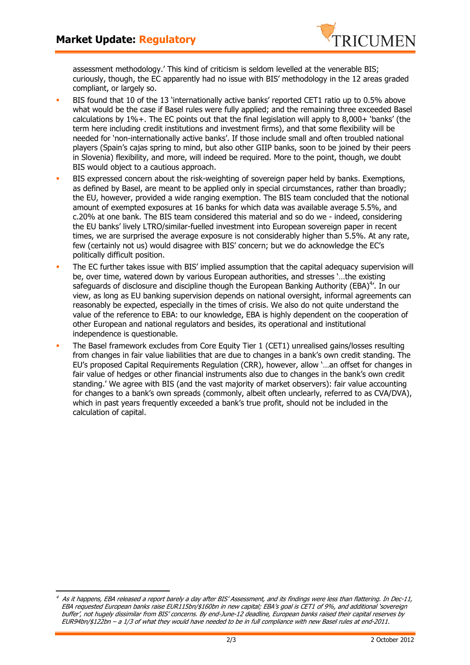$\overline{a}$ 



assessment methodology.' This kind of criticism is seldom levelled at the venerable BIS; curiously, though, the EC apparently had no issue with BIS' methodology in the 12 areas graded compliant, or largely so.

- BIS found that 10 of the 13 'internationally active banks' reported CET1 ratio up to 0.5% above what would be the case if Basel rules were fully applied; and the remaining three exceeded Basel calculations by 1%+. The EC points out that the final legislation will apply to 8,000+ 'banks' (the term here including credit institutions and investment firms), and that some flexibility will be needed for 'non-internationally active banks'. If those include small and often troubled national players (Spain's cajas spring to mind, but also other GIIP banks, soon to be joined by their peers in Slovenia) flexibility, and more, will indeed be required. More to the point, though, we doubt BIS would object to a cautious approach.
- BIS expressed concern about the risk-weighting of sovereign paper held by banks. Exemptions, as defined by Basel, are meant to be applied only in special circumstances, rather than broadly; the EU, however, provided a wide ranging exemption. The BIS team concluded that the notional amount of exempted exposures at 16 banks for which data was available average 5.5%, and c.20% at one bank. The BIS team considered this material and so do we - indeed, considering the EU banks' lively LTRO/similar-fuelled investment into European sovereign paper in recent times, we are surprised the average exposure is not considerably higher than 5.5%. At any rate, few (certainly not us) would disagree with BIS' concern; but we do acknowledge the EC's politically difficult position.
- The EC further takes issue with BIS' implied assumption that the capital adequacy supervision will be, over time, watered down by various European authorities, and stresses '…the existing safeguards of disclosure and discipline though the European Banking Authority (EBA)<sup>4</sup>'. In our view, as long as EU banking supervision depends on national oversight, informal agreements can reasonably be expected, especially in the times of crisis. We also do not quite understand the value of the reference to EBA: to our knowledge, EBA is highly dependent on the cooperation of other European and national regulators and besides, its operational and institutional independence is questionable.
- The Basel framework excludes from Core Equity Tier 1 (CET1) unrealised gains/losses resulting from changes in fair value liabilities that are due to changes in a bank's own credit standing. The EU's proposed Capital Requirements Regulation (CRR), however, allow '…an offset for changes in fair value of hedges or other financial instruments also due to changes in the bank's own credit standing.' We agree with BIS (and the vast majority of market observers): fair value accounting for changes to a bank's own spreads (commonly, albeit often unclearly, referred to as CVA/DVA), which in past years frequently exceeded a bank's true profit, should not be included in the calculation of capital.

<sup>4</sup> As it happens, EBA released a report barely a day after BIS' Assessment, and its findings were less than flattering. In Dec-11, EBA requested European banks raise EUR115bn/\$160bn in new capital; EBA's goal is CET1 of 9%, and additional 'sovereign buffer', not hugely dissimilar from BIS' concerns. By end-June-12 deadline, European banks raised their capital reserves by EUR94bn/\$122bn – a 1/3 of what they would have needed to be in full compliance with new Basel rules at end-2011.